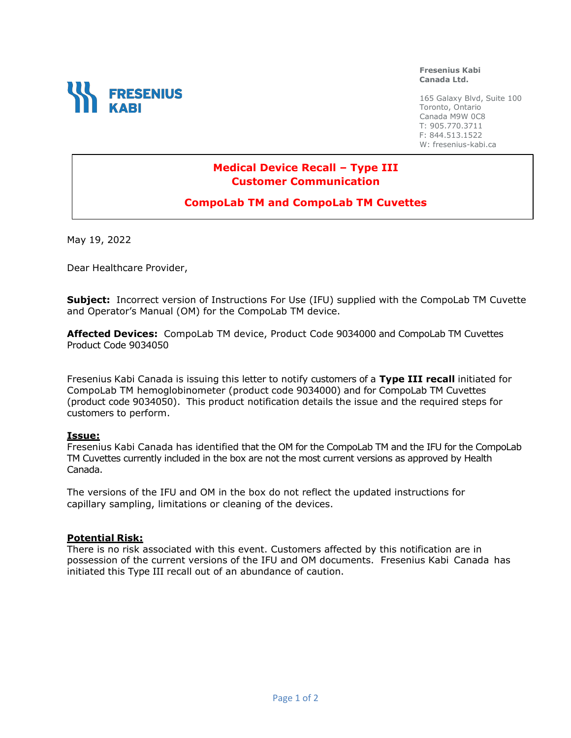

**Fresenius Kabi Canada Ltd.**

165 Galaxy Blvd, Suite 100 Toronto, Ontario Canada M9W 0C8 T: 905.770.3711 F: 844.513.1522 W: fresenius-kabi.ca

# **Medical Device Recall – Type III Customer Communication**

# **CompoLab TM and CompoLab TM Cuvettes**

May 19, 2022

Dear Healthcare Provider,

**Subject:** Incorrect version of Instructions For Use (IFU) supplied with the CompoLab TM Cuvette and Operator's Manual (OM) for the CompoLab TM device.

**Affected Devices:** CompoLab TM device, Product Code 9034000 and CompoLab TM Cuvettes Product Code 9034050

Fresenius Kabi Canada is issuing this letter to notify customers of a **Type III recall** initiated for CompoLab TM hemoglobinometer (product code 9034000) and for CompoLab TM Cuvettes (product code 9034050). This product notification details the issue and the required steps for customers to perform.

#### **Issue:**

Fresenius Kabi Canada has identified that the OM for the CompoLab TM and the IFU for the CompoLab TM Cuvettes currently included in the box are not the most current versions as approved by Health Canada.

The versions of the IFU and OM in the box do not reflect the updated instructions for capillary sampling, limitations or cleaning of the devices.

#### **Potential Risk:**

There is no risk associated with this event. Customers affected by this notification are in possession of the current versions of the IFU and OM documents. Fresenius Kabi Canada has initiated this Type III recall out of an abundance of caution.